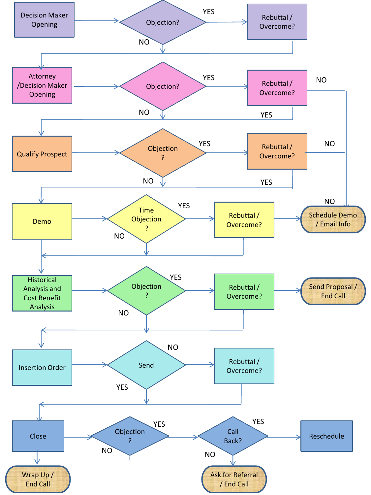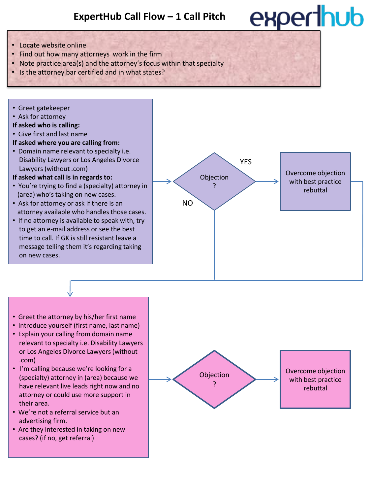## experthub

- Locate website online
- Find out how many attorneys work in the firm
- Note practice area(s) and the attorney's focus within that specialty
- Is the attorney bar certified and in what states?
- Greet gatekeeper
- Ask for attorney
- **If asked who is calling:**
- Give first and last name
- **If asked where you are calling from:**
- Domain name relevant to specialty i.e. Disability Lawyers or Los Angeles Divorce Lawyers (without .com)
- **If asked what call is in regards to:**
- You're trying to find a (specialty) attorney in (area) who's taking on new cases.
- Ask for attorney or ask if there is an attorney available who handles those cases.
- If no attorney is available to speak with, try to get an e-mail address or see the best time to call. If GK is still resistant leave a message telling them it's regarding taking on new cases.



- Greet the attorney by his/her first name
- Introduce yourself (first name, last name)
- Explain your calling from domain name relevant to specialty i.e. Disability Lawyers or Los Angeles Divorce Lawyers (without .com)
- I'm calling because we're looking for a (specialty) attorney in (area) because we have relevant live leads right now and no attorney or could use more support in their area.
- We're not a referral service but an advertising firm.
- Are they interested in taking on new cases? (if no, get referral)

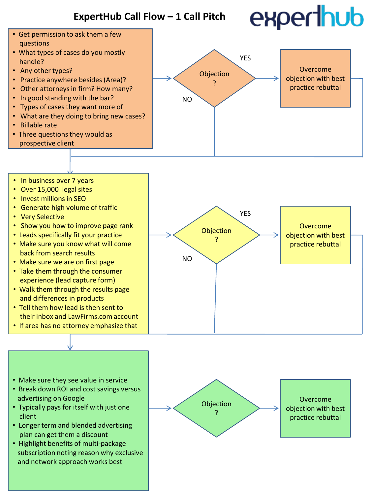# experthub



- Over 15,000 legal sites
- Invest millions in SEO
- Generate high volume of traffic
- Very Selective
- Show you how to improve page rank
- Leads specifically fit your practice
- Make sure you know what will come back from search results
- Make sure we are on first page
- Take them through the consumer experience (lead capture form)
- Walk them through the results page and differences in products
- Tell them how lead is then sent to their inbox and LawFirms.com account
- If area has no attorney emphasize that



- Make sure they see value in service
- Break down ROI and cost savings versus advertising on Google
- Typically pays for itself with just one client
- Longer term and blended advertising plan can get them a discount
- Highlight benefits of multi-package subscription noting reason why exclusive and network approach works best

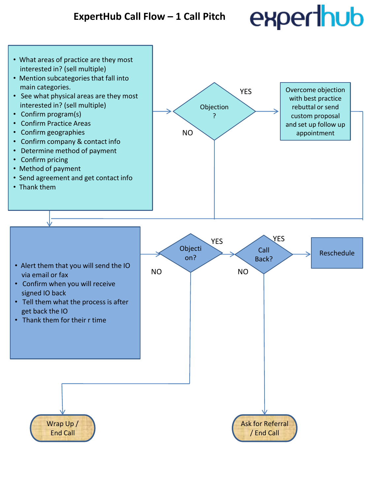## experthub

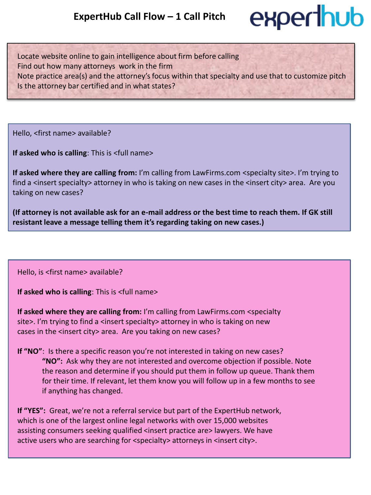### experthub

Locate website online to gain intelligence about firm before calling Find out how many attorneys work in the firm Note practice area(s) and the attorney's focus within that specialty and use that to customize pitch Is the attorney bar certified and in what states?

Hello, <first name> available?

**If asked who is calling**: This is <full name>

**If asked where they are calling from:** I'm calling from LawFirms.com <specialty site>. I'm trying to find a <insert specialty> attorney in who is taking on new cases in the <insert city> area. Are you taking on new cases?

**(If attorney is not available ask for an e-mail address or the best time to reach them. If GK still resistant leave a message telling them it's regarding taking on new cases.)**

Hello, is <first name> available?

**If asked who is calling**: This is <full name>

**If asked where they are calling from:** I'm calling from LawFirms.com <specialty site>. I'm trying to find a <insert specialty> attorney in who is taking on new cases in the <insert city> area. Are you taking on new cases?

**If "NO"**: Is there a specific reason you're not interested in taking on new cases? **"NO":** Ask why they are not interested and overcome objection if possible. Note the reason and determine if you should put them in follow up queue. Thank them for their time. If relevant, let them know you will follow up in a few months to see if anything has changed.

**If "YES":** Great, we're not a referral service but part of the ExpertHub network, which is one of the largest online legal networks with over 15,000 websites assisting consumers seeking qualified <insert practice are> lawyers. We have active users who are searching for <specialty> attorneys in <insert city>.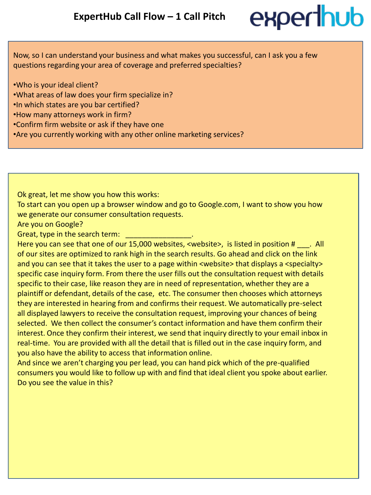

Now, so I can understand your business and what makes you successful, can I ask you a few questions regarding your area of coverage and preferred specialties?

- •Who is your ideal client?
- •What areas of law does your firm specialize in?
- •In which states are you bar certified?
- •How many attorneys work in firm?
- •Confirm firm website or ask if they have one
- •Are you currently working with any other online marketing services?

Ok great, let me show you how this works:

To start can you open up a browser window and go to Google.com, I want to show you how we generate our consumer consultation requests.

Are you on Google?

Great, type in the search term:

Here you can see that one of our 15,000 websites, <website>, is listed in position # \_\_\_. All of our sites are optimized to rank high in the search results. Go ahead and click on the link and you can see that it takes the user to a page within <website> that displays a <specialty> specific case inquiry form. From there the user fills out the consultation request with details specific to their case, like reason they are in need of representation, whether they are a plaintiff or defendant, details of the case, etc. The consumer then chooses which attorneys they are interested in hearing from and confirms their request. We automatically pre-select all displayed lawyers to receive the consultation request, improving your chances of being selected. We then collect the consumer's contact information and have them confirm their interest. Once they confirm their interest, we send that inquiry directly to your email inbox in real-time. You are provided with all the detail that is filled out in the case inquiry form, and you also have the ability to access that information online.

And since we aren't charging you per lead, you can hand pick which of the pre-qualified consumers you would like to follow up with and find that ideal client you spoke about earlier. Do you see the value in this?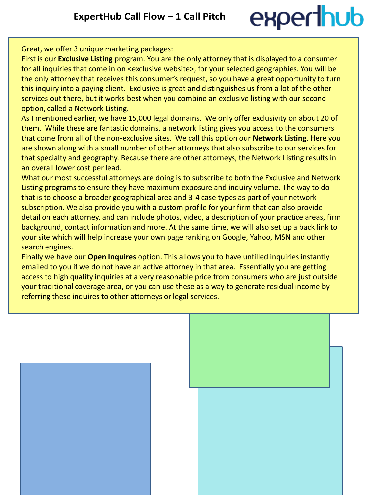## experthub

Great, we offer 3 unique marketing packages:

First is our **Exclusive Listing** program. You are the only attorney that is displayed to a consumer for all inquiries that come in on <exclusive website>, for your selected geographies. You will be the only attorney that receives this consumer's request, so you have a great opportunity to turn this inquiry into a paying client. Exclusive is great and distinguishes us from a lot of the other services out there, but it works best when you combine an exclusive listing with our second option, called a Network Listing.

As I mentioned earlier, we have 15,000 legal domains. We only offer exclusivity on about 20 of them. While these are fantastic domains, a network listing gives you access to the consumers that come from all of the non-exclusive sites. We call this option our **Network Listing**. Here you are shown along with a small number of other attorneys that also subscribe to our services for that specialty and geography. Because there are other attorneys, the Network Listing results in an overall lower cost per lead.

What our most successful attorneys are doing is to subscribe to both the Exclusive and Network Listing programs to ensure they have maximum exposure and inquiry volume. The way to do that is to choose a broader geographical area and 3-4 case types as part of your network subscription. We also provide you with a custom profile for your firm that can also provide detail on each attorney, and can include photos, video, a description of your practice areas, firm background, contact information and more. At the same time, we will also set up a back link to your site which will help increase your own page ranking on Google, Yahoo, MSN and other search engines.

Finally we have our **Open Inquires** option. This allows you to have unfilled inquiries instantly emailed to you if we do not have an active attorney in that area. Essentially you are getting access to high quality inquiries at a very reasonable price from consumers who are just outside your traditional coverage area, or you can use these as a way to generate residual income by referring these inquires to other attorneys or legal services.



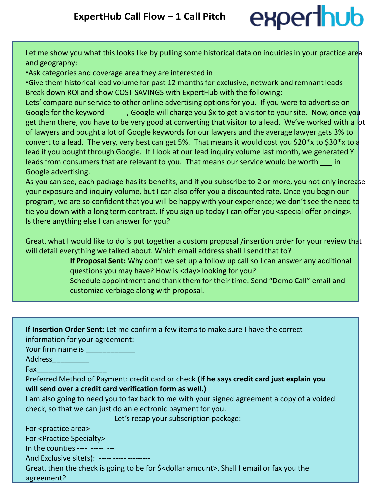## experthub

Let me show you what this looks like by pulling some historical data on inquiries in your practice area and geography:

•Ask categories and coverage area they are interested in

•Give them historical lead volume for past 12 months for exclusive, network and remnant leads Break down ROI and show COST SAVINGS with ExpertHub with the following:

Lets' compare our service to other online advertising options for you. If you were to advertise on Google for the keyword and Google will charge you \$x to get a visitor to your site. Now, once you get them there, you have to be very good at converting that visitor to a lead. We've worked with a lot of lawyers and bought a lot of Google keywords for our lawyers and the average lawyer gets 3% to convert to a lead. The very, very best can get 5%. That means it would cost you \$20\*x to \$30\*x to a lead if you bought through Google. If I look at our lead inquiry volume last month, we generated Y leads from consumers that are relevant to you. That means our service would be worth in Google advertising.

As you can see, each package has its benefits, and if you subscribe to 2 or more, you not only increase your exposure and inquiry volume, but I can also offer you a discounted rate. Once you begin our program, we are so confident that you will be happy with your experience; we don't see the need to tie you down with a long term contract. If you sign up today I can offer you <special offer pricing>. Is there anything else I can answer for you?

Great, what I would like to do is put together a custom proposal /insertion order for your review that will detail everything we talked about. Which email address shall I send that to?

**If Proposal Sent:** Why don't we set up a follow up call so I can answer any additional questions you may have? How is <day> looking for you?

Schedule appointment and thank them for their time. Send "Demo Call" email and customize verbiage along with proposal.

| If Insertion Order Sent: Let me confirm a few items to make sure I have the correct                           |  |
|---------------------------------------------------------------------------------------------------------------|--|
| de la provincia de la contrata de la contrata de la contrata de la contrata de la contrata de la contrata del |  |

information for your agreement:

Your firm name is \_\_\_\_\_\_\_\_\_\_\_\_

Address\_\_\_\_\_\_\_\_\_

Fax\_\_\_\_\_\_\_\_\_\_\_\_\_\_\_\_\_

Preferred Method of Payment: credit card or check **(If he says credit card just explain you will send over a credit card verification form as well.)**

I am also going to need you to fax back to me with your signed agreement a copy of a voided check, so that we can just do an electronic payment for you.

Let's recap your subscription package:

For <practice area>

For <Practice Specialty>

In the counties ---- ----- ---

And Exclusive site(s):  $---$ 

Great, then the check is going to be for \$<dollar amount>. Shall I email or fax you the agreement?